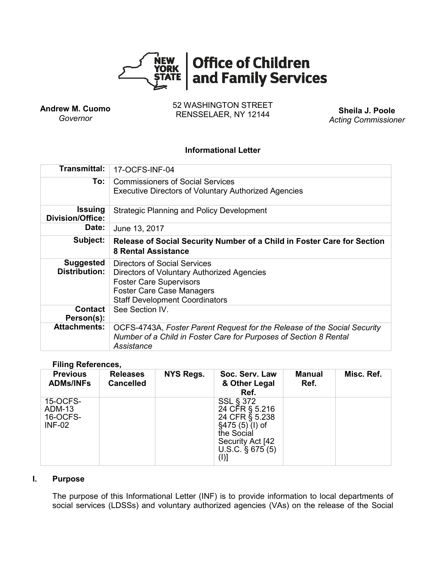

**Andrew M. Cuomo** *Governor*

52 WASHINGTON STREET RENSSELAER, NY 12144 **Sheila J. Poole**

*Acting Commissioner*

## **Informational Letter**

| Transmittal:                             | 17-OCFS-INF-04                                                                                                                                                                            |  |  |  |  |
|------------------------------------------|-------------------------------------------------------------------------------------------------------------------------------------------------------------------------------------------|--|--|--|--|
| To:                                      | <b>Commissioners of Social Services</b><br><b>Executive Directors of Voluntary Authorized Agencies</b>                                                                                    |  |  |  |  |
| Issuing<br>Division/Office:              | Strategic Planning and Policy Development                                                                                                                                                 |  |  |  |  |
| Date:                                    | June 13, 2017                                                                                                                                                                             |  |  |  |  |
| Subject:                                 | Release of Social Security Number of a Child in Foster Care for Section<br><b>8 Rental Assistance</b>                                                                                     |  |  |  |  |
| <b>Suggested</b><br><b>Distribution:</b> | Directors of Social Services<br>Directors of Voluntary Authorized Agencies<br><b>Foster Care Supervisors</b><br><b>Foster Care Case Managers</b><br><b>Staff Development Coordinators</b> |  |  |  |  |
| <b>Contact</b><br>Person(s):             | See Section IV.                                                                                                                                                                           |  |  |  |  |
| <b>Attachments:</b>                      | OCFS-4743A, Foster Parent Request for the Release of the Social Security<br>Number of a Child in Foster Care for Purposes of Section 8 Rental<br>Assistance                               |  |  |  |  |

### **Filing References,**

| <b>Previous</b><br><b>ADMs/INFs</b>                    | <b>Releases</b><br><b>Cancelled</b> | NYS Regs. | Soc. Serv. Law<br>& Other Legal<br>Ref.                                                                                                   | <b>Manual</b><br>Ref. | Misc. Ref. |
|--------------------------------------------------------|-------------------------------------|-----------|-------------------------------------------------------------------------------------------------------------------------------------------|-----------------------|------------|
| 15-OCFS-<br><b>ADM-13</b><br>16-OCFS-<br><b>INF-02</b> |                                     |           | <b>SSL § 372</b><br>24 CFR § 5.216<br>24 CFR § 5.238<br>$§475(5)(I)$ of<br>the Social<br>Security Act [42]<br>U.S.C. $\S$ 675 (5)<br>(I)] |                       |            |

### **I. Purpose**

The purpose of this Informational Letter (INF) is to provide information to local departments of social services (LDSSs) and voluntary authorized agencies (VAs) on the release of the Social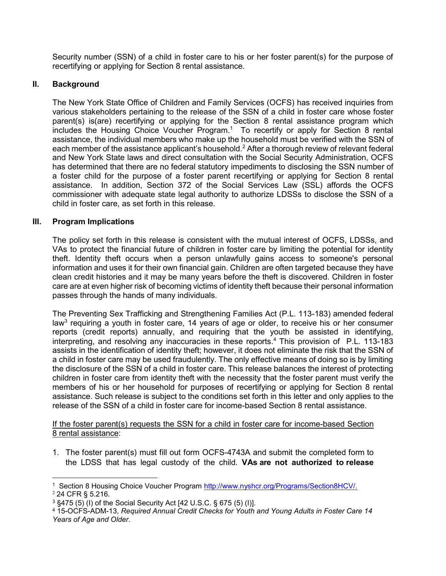Security number (SSN) of a child in foster care to his or her foster parent(s) for the purpose of recertifying or applying for Section 8 rental assistance.

# **II. Background**

The New York State Office of Children and Family Services (OCFS) has received inquiries from various stakeholders pertaining to the release of the SSN of a child in foster care whose foster parent(s) is(are) recertifying or applying for the Section 8 rental assistance program which includes the Housing Choice Voucher Program. 1 To recertify or apply for Section 8 rental assistance, the individual members who make up the household must be verified with the SSN of each member of the assistance applicant's household.<sup>2</sup> After a thorough review of relevant federal and New York State laws and direct consultation with the Social Security Administration, OCFS has determined that there are no federal statutory impediments to disclosing the SSN number of a foster child for the purpose of a foster parent recertifying or applying for Section 8 rental assistance. In addition, Section 372 of the Social Services Law (SSL) affords the OCFS commissioner with adequate state legal authority to authorize LDSSs to disclose the SSN of a child in foster care, as set forth in this release.

### **III. Program Implications**

The policy set forth in this release is consistent with the mutual interest of OCFS, LDSSs, and VAs to protect the financial future of children in foster care by limiting the potential for identity theft. Identity theft occurs when a person unlawfully gains access to someone's personal information and uses it for their own financial gain. Children are often targeted because they have clean credit histories and it may be many years before the theft is discovered. Children in foster care are at even higher risk of becoming victims of identity theft because their personal information passes through the hands of many individuals.

The Preventing Sex Trafficking and Strengthening Families Act (P.L. 113-183) amended federal law<sup>3</sup> requiring a youth in foster care, 14 years of age or older, to receive his or her consumer reports (credit reports) annually, and requiring that the youth be assisted in identifying, interpreting, and resolving any inaccuracies in these reports.<sup>4</sup> This provision of P.L. 113-183 assists in the identification of identity theft; however, it does not eliminate the risk that the SSN of a child in foster care may be used fraudulently. The only effective means of doing so is by limiting the disclosure of the SSN of a child in foster care. This release balances the interest of protecting children in foster care from identity theft with the necessity that the foster parent must verify the members of his or her household for purposes of recertifying or applying for Section 8 rental assistance. Such release is subject to the conditions set forth in this letter and only applies to the release of the SSN of a child in foster care for income-based Section 8 rental assistance.

If the foster parent(s) requests the SSN for a child in foster care for income-based Section 8 rental assistance:

1. The foster parent(s) must fill out form OCFS-4743A and submit the completed form to the LDSS that has legal custody of the child. **VAs are not authorized to release**

 $\overline{a}$ <sup>1</sup> Section 8 Housing Choice Voucher Program [http://www.nyshcr.org/Programs/Section8HCV/.](http://www.nyshcr.org/Programs/Section8HCV/)

 $2$  24 CFR § 5.216.

<sup>3</sup> §475 (5) (I) of the Social Security Act [42 U.S.C. § 675 (5) (I)].

<sup>4</sup> 15-OCFS-ADM-13, *Required Annual Credit Checks for Youth and Young Adults in Foster Care 14 Years of Age and Older*.